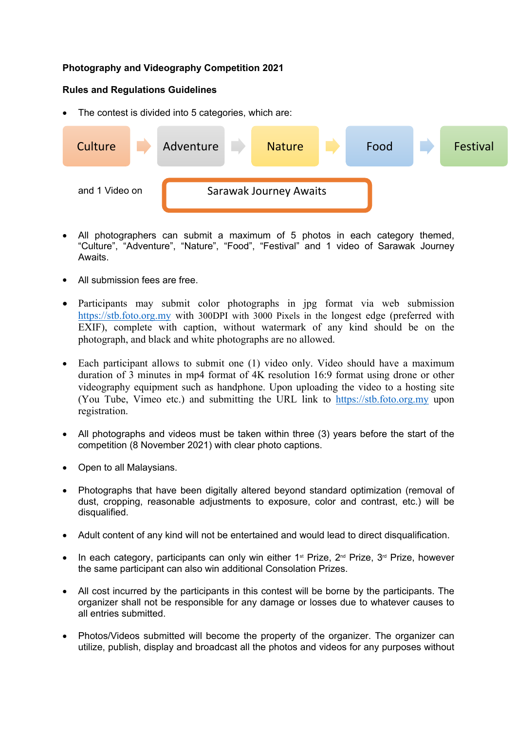## **Photography and Videography Competition 2021**

## **Rules and Regulations Guidelines**

The contest is divided into 5 categories, which are:



- All photographers can submit a maximum of 5 photos in each category themed, "Culture", "Adventure", "Nature", "Food", "Festival" and 1 video of Sarawak Journey Awaits.
- All submission fees are free.
- Participants may submit color photographs in jpg format via web submission <https://stb.foto.org.my> with 300DPI with 3000 Pixels in the longest edge (preferred with EXIF), complete with caption, without watermark of any kind should be on the photograph, and black and white photographs are no allowed.
- Each participant allows to submit one (1) video only. Video should have a maximum duration of 3 minutes in mp4 format of 4K resolution 16:9 format using drone or other videography equipment such as handphone. Upon uploading the video to a hosting site (You Tube, Vimeo etc.) and submitting the URL link to <https://stb.foto.org.my> upon registration.
- All photographs and videos must be taken within three (3) years before the start of the competition (8 November 2021) with clear photo captions.
- Open to all Malaysians.
- Photographs that have been digitally altered beyond standard optimization (removal of dust, cropping, reasonable adjustments to exposure, color and contrast, etc.) will be disqualified.
- Adult content of any kind will not be entertained and would lead to direct disqualification.
- In each category, participants can only win either 1<sup>st</sup> Prize, 2<sup>nd</sup> Prize, 3<sup>rd</sup> Prize, however the same participant can also win additional Consolation Prizes.
- All cost incurred by the participants in this contest will be borne by the participants. The organizer shall not be responsible for any damage or losses due to whatever causes to all entries submitted.
- Photos/Videos submitted will become the property of the organizer. The organizer can utilize, publish, display and broadcast all the photos and videos for any purposes without